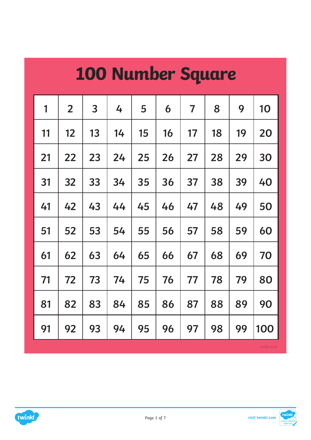| <b>100 Number Square</b> |                   |                |    |    |    |                         |    |    |              |  |  |  |  |
|--------------------------|-------------------|----------------|----|----|----|-------------------------|----|----|--------------|--|--|--|--|
| 1                        | $\overline{2}$    | $\overline{3}$ | 4  | 5  | 6  | $\overline{\mathbf{7}}$ | 8  | 9  | 10           |  |  |  |  |
| 11                       | $12 \overline{ }$ | 13             | 14 | 15 | 16 | 17                      | 18 | 19 | 20           |  |  |  |  |
| 21                       | 22                | 23             | 24 | 25 | 26 | 27                      | 28 | 29 | 30           |  |  |  |  |
| 31                       | 32                | 33             | 34 | 35 | 36 | 37                      | 38 | 39 | 40           |  |  |  |  |
| 41                       | 42                | 43             | 44 | 45 | 46 | 47                      | 48 | 49 | 50           |  |  |  |  |
| 51                       | 52                | 53             | 54 | 55 | 56 | 57                      | 58 | 59 | 60           |  |  |  |  |
| 61                       | 62                | 63             | 64 | 65 | 66 | 67                      | 68 | 69 | 70           |  |  |  |  |
| 71                       | 72                | 73             | 74 | 75 | 76 | 77                      | 78 | 79 | 80           |  |  |  |  |
| 81                       | 82                | 83             | 84 | 85 | 86 | 87                      | 88 | 89 | 90           |  |  |  |  |
| 91                       | 92                | 93             | 94 | 95 | 96 | 97                      | 98 | 99 | 100          |  |  |  |  |
|                          |                   |                |    |    |    |                         |    |    | twinkl.co.uk |  |  |  |  |

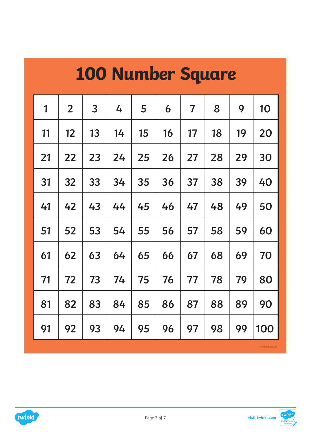| 100 Number Square |                   |    |    |    |    |                         |    |    |              |  |  |  |  |
|-------------------|-------------------|----|----|----|----|-------------------------|----|----|--------------|--|--|--|--|
| 1                 | $\overline{2}$    | 3  | 4  | 5  | 6  | $\overline{\mathbf{7}}$ | 8  | 9  | 10           |  |  |  |  |
| 11                | $12 \overline{ }$ | 13 | 14 | 15 | 16 | 17                      | 18 | 19 | <b>20</b>    |  |  |  |  |
| 21                | 22                | 23 | 24 | 25 | 26 | 27                      | 28 | 29 | 30           |  |  |  |  |
| 31                | 32                | 33 | 34 | 35 | 36 | 37                      | 38 | 39 | 40           |  |  |  |  |
| 41                | 42                | 43 | 44 | 45 | 46 | 47                      | 48 | 49 | 50           |  |  |  |  |
| 51                | 52                | 53 | 54 | 55 | 56 | 57                      | 58 | 59 | 60           |  |  |  |  |
| 61                | 62                | 63 | 64 | 65 | 66 | 67                      | 68 | 69 | 70           |  |  |  |  |
| 71                | 72                | 73 | 74 | 75 | 76 | 77                      | 78 | 79 | 80           |  |  |  |  |
| 81                | 82                | 83 | 84 | 85 | 86 | 87                      | 88 | 89 | 90           |  |  |  |  |
| 91                | 92                | 93 | 94 | 95 | 96 | 97                      | 98 | 99 | 100          |  |  |  |  |
|                   |                   |    |    |    |    |                         |    |    | twinkl.co.uk |  |  |  |  |

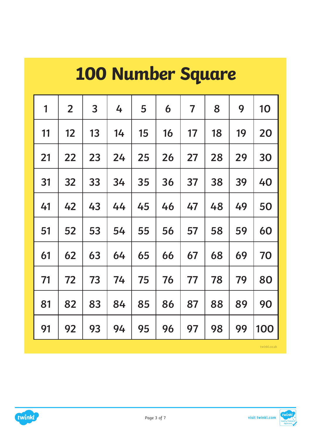|    | <b>100 Number Square</b> |                |    |    |    |                |    |    |     |  |  |  |  |  |
|----|--------------------------|----------------|----|----|----|----------------|----|----|-----|--|--|--|--|--|
| 1  | $\overline{2}$           | $\overline{3}$ | 4  | 5  | 6  | $\overline{7}$ | 8  | 9  | 10  |  |  |  |  |  |
| 11 | 12                       | 13             | 14 | 15 | 16 | 17             | 18 | 19 | 20  |  |  |  |  |  |
| 21 | 22                       | 23             | 24 | 25 | 26 | 27             | 28 | 29 | 30  |  |  |  |  |  |
| 31 | 32                       | 33             | 34 | 35 | 36 | 37             | 38 | 39 | 40  |  |  |  |  |  |
| 41 | 42                       | 43             | 44 | 45 | 46 | 47             | 48 | 49 | 50  |  |  |  |  |  |
| 51 | 52                       | 53             | 54 | 55 | 56 | 57             | 58 | 59 | 60  |  |  |  |  |  |
| 61 | 62                       | 63             | 64 | 65 | 66 | 67             | 68 | 69 | 70  |  |  |  |  |  |
| 71 | 72                       | 73             | 74 | 75 | 76 | 77             | 78 | 79 | 80  |  |  |  |  |  |
| 81 | 82                       | 83             | 84 | 85 | 86 | 87             | 88 | 89 | 90  |  |  |  |  |  |
| 91 | 92                       | 93             | 94 | 95 | 96 | 97             | 98 | 99 | 100 |  |  |  |  |  |



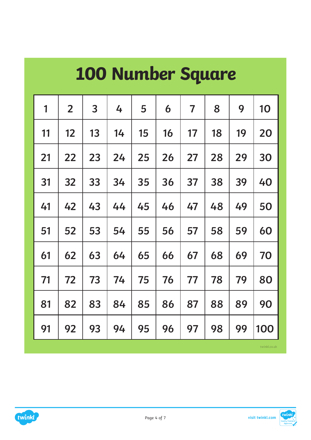| $\overline{3}$<br>8<br>9<br>$\overline{2}$<br>1<br>4<br>5<br>$\overline{\mathbf{7}}$<br>10<br>6<br>15<br>19<br>12<br>13<br>14<br>16<br>17<br>18<br>11<br>20<br>27<br>29<br>21<br>22<br>23<br>24<br>25<br>26<br>28<br>30<br>33<br>37<br>38<br>39<br>31<br>32<br>34<br>35<br>36<br>40<br>43<br>45<br>42<br>47<br>48<br>49<br>50<br>41<br>44<br>46<br>53<br>51<br>52<br>54<br>55<br>58<br>59<br>56<br>57<br>60<br>61<br>62<br>63<br>65<br>69<br>64<br>66<br>67<br>68<br>70<br>77<br>79<br>71<br>72<br>75<br>73<br>74<br>76<br>78<br>80<br>89<br>82<br>83<br>85<br>87<br>88<br>90<br>84<br>86<br>81 | <b>100 Number Square</b> |  |  |  |  |  |  |  |  |  |  |  |  |  |
|-------------------------------------------------------------------------------------------------------------------------------------------------------------------------------------------------------------------------------------------------------------------------------------------------------------------------------------------------------------------------------------------------------------------------------------------------------------------------------------------------------------------------------------------------------------------------------------------------|--------------------------|--|--|--|--|--|--|--|--|--|--|--|--|--|
|                                                                                                                                                                                                                                                                                                                                                                                                                                                                                                                                                                                                 |                          |  |  |  |  |  |  |  |  |  |  |  |  |  |
|                                                                                                                                                                                                                                                                                                                                                                                                                                                                                                                                                                                                 |                          |  |  |  |  |  |  |  |  |  |  |  |  |  |
|                                                                                                                                                                                                                                                                                                                                                                                                                                                                                                                                                                                                 |                          |  |  |  |  |  |  |  |  |  |  |  |  |  |
|                                                                                                                                                                                                                                                                                                                                                                                                                                                                                                                                                                                                 |                          |  |  |  |  |  |  |  |  |  |  |  |  |  |
|                                                                                                                                                                                                                                                                                                                                                                                                                                                                                                                                                                                                 |                          |  |  |  |  |  |  |  |  |  |  |  |  |  |
|                                                                                                                                                                                                                                                                                                                                                                                                                                                                                                                                                                                                 |                          |  |  |  |  |  |  |  |  |  |  |  |  |  |
|                                                                                                                                                                                                                                                                                                                                                                                                                                                                                                                                                                                                 |                          |  |  |  |  |  |  |  |  |  |  |  |  |  |
|                                                                                                                                                                                                                                                                                                                                                                                                                                                                                                                                                                                                 |                          |  |  |  |  |  |  |  |  |  |  |  |  |  |
|                                                                                                                                                                                                                                                                                                                                                                                                                                                                                                                                                                                                 |                          |  |  |  |  |  |  |  |  |  |  |  |  |  |
| 95<br>99<br>93<br>97<br>98<br>100<br>92<br>94<br>96<br>91                                                                                                                                                                                                                                                                                                                                                                                                                                                                                                                                       |                          |  |  |  |  |  |  |  |  |  |  |  |  |  |

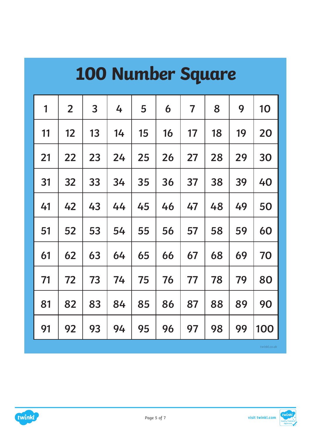| <b>100 Number Square</b> |                |                |    |    |    |                         |    |    |     |  |  |  |  |
|--------------------------|----------------|----------------|----|----|----|-------------------------|----|----|-----|--|--|--|--|
| 1                        | $\overline{2}$ | 3 <sup>1</sup> | 4  | 5  | 6  | $\overline{\mathbf{7}}$ | 8  | 9  | 10  |  |  |  |  |
| 11                       | 12             | 13             | 14 | 15 | 16 | 17                      | 18 | 19 | 20  |  |  |  |  |
| 21                       | 22             | 23             | 24 | 25 | 26 | 27                      | 28 | 29 | 30  |  |  |  |  |
| 31                       | 32             | 33             | 34 | 35 | 36 | 37                      | 38 | 39 | 40  |  |  |  |  |
| 41                       | 42             | 43             | 44 | 45 | 46 | 47                      | 48 | 49 | 50  |  |  |  |  |
| 51                       | 52             | 53             | 54 | 55 | 56 | 57                      | 58 | 59 | 60  |  |  |  |  |
| 61                       | 62             | 63             | 64 | 65 | 66 | 67                      | 68 | 69 | 70  |  |  |  |  |
| 71                       | 72             | 73             | 74 | 75 | 76 | 77                      | 78 | 79 | 80  |  |  |  |  |
| 81                       | 82             | 83             | 84 | 85 | 86 | 87                      | 88 | 89 | 90  |  |  |  |  |
| 91                       | 92             | 93             | 94 | 95 | 96 | 97                      | 98 | 99 | 100 |  |  |  |  |

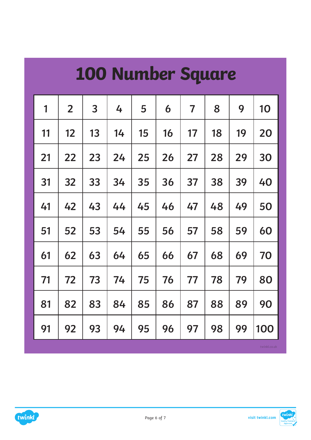|    | <b>100 Number Square</b> |    |    |    |    |                         |    |    |     |  |  |  |  |  |
|----|--------------------------|----|----|----|----|-------------------------|----|----|-----|--|--|--|--|--|
| 1  | $\overline{2}$           | 3  | 4  | 5  | 6  | $\overline{\mathbf{7}}$ | 8  | 9  | 10  |  |  |  |  |  |
| 11 | 12                       | 13 | 14 | 15 | 16 | 17                      | 18 | 19 | 20  |  |  |  |  |  |
| 21 | 22                       | 23 | 24 | 25 | 26 | 27                      | 28 | 29 | 30  |  |  |  |  |  |
| 31 | 32                       | 33 | 34 | 35 | 36 | 37                      | 38 | 39 | 40  |  |  |  |  |  |
| 41 | 42                       | 43 | 44 | 45 | 46 | 47                      | 48 | 49 | 50  |  |  |  |  |  |
| 51 | 52                       | 53 | 54 | 55 | 56 | 57                      | 58 | 59 | 60  |  |  |  |  |  |
| 61 | 62                       | 63 | 64 | 65 | 66 | 67                      | 68 | 69 | 70  |  |  |  |  |  |
| 71 | 72                       | 73 | 74 | 75 | 76 | 77                      | 78 | 79 | 80  |  |  |  |  |  |
| 81 | 82                       | 83 | 84 | 85 | 86 | 87                      | 88 | 89 | 90  |  |  |  |  |  |
| 91 | 92                       | 93 | 94 | 95 | 96 | 97                      | 98 | 99 | 100 |  |  |  |  |  |